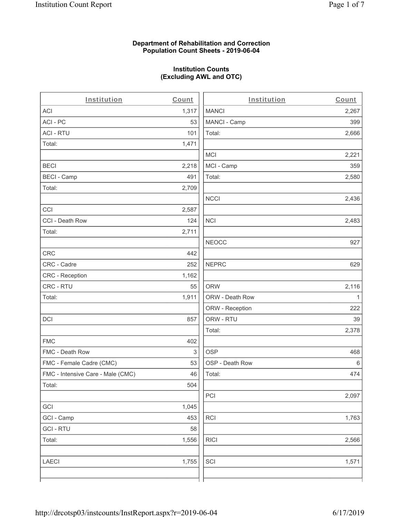### **Department of Rehabilitation and Correction Population Count Sheets - 2019-06-04**

# **Institution Counts (Excluding AWL and OTC)**

| Institution                       | Count | Institution     | Count   |
|-----------------------------------|-------|-----------------|---------|
| <b>ACI</b>                        | 1,317 | <b>MANCI</b>    | 2,267   |
| ACI - PC                          | 53    | MANCI - Camp    | 399     |
| <b>ACI - RTU</b>                  | 101   | Total:          | 2,666   |
| Total:                            | 1,471 |                 |         |
|                                   |       | <b>MCI</b>      | 2,221   |
| <b>BECI</b>                       | 2,218 | MCI - Camp      | 359     |
| <b>BECI - Camp</b>                | 491   | Total:          | 2,580   |
| Total:                            | 2,709 |                 |         |
|                                   |       | <b>NCCI</b>     | 2,436   |
| CCI                               | 2,587 |                 |         |
| CCI - Death Row                   | 124   | <b>NCI</b>      | 2,483   |
| Total:                            | 2,711 |                 |         |
|                                   |       | <b>NEOCC</b>    | 927     |
| <b>CRC</b>                        | 442   |                 |         |
| CRC - Cadre                       | 252   | <b>NEPRC</b>    | 629     |
| CRC - Reception                   | 1,162 |                 |         |
| CRC - RTU                         | 55    | <b>ORW</b>      | 2,116   |
| Total:                            | 1,911 | ORW - Death Row | 1       |
|                                   |       | ORW - Reception | 222     |
| <b>DCI</b>                        | 857   | ORW - RTU       | 39      |
|                                   |       | Total:          | 2,378   |
| <b>FMC</b>                        | 402   |                 |         |
| FMC - Death Row                   | 3     | <b>OSP</b>      | 468     |
| FMC - Female Cadre (CMC)          | 53    | OSP - Death Row | $\,6\,$ |
| FMC - Intensive Care - Male (CMC) | 46    | Total:          | 474     |
| Total:                            | 504   |                 |         |
|                                   |       | PCI             | 2,097   |
| GCI                               | 1,045 |                 |         |
| GCI - Camp                        | 453   | RCI             | 1,763   |
| <b>GCI-RTU</b>                    | 58    |                 |         |
| Total:                            | 1,556 | <b>RICI</b>     | 2,566   |
| <b>LAECI</b>                      | 1,755 | SCI             | 1,571   |
|                                   |       |                 |         |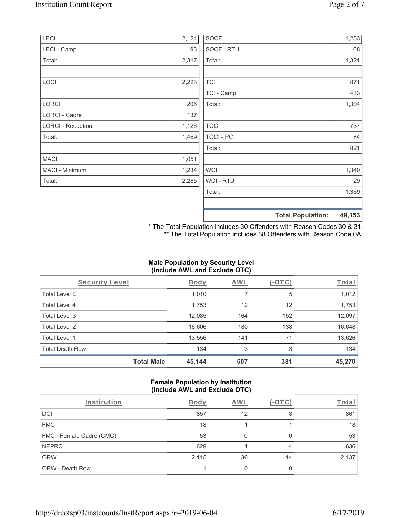| LECI                     | 2,124 | <b>SOCF</b>    | 1,253                              |
|--------------------------|-------|----------------|------------------------------------|
| LECI - Camp              | 193   | SOCF - RTU     | 68                                 |
| Total:                   | 2,317 | Total:         | 1,321                              |
| LOCI                     | 2,223 | <b>TCI</b>     | 871                                |
|                          |       | TCI - Camp     | 433                                |
| <b>LORCI</b>             | 206   | Total:         | 1,304                              |
| <b>LORCI - Cadre</b>     | 137   |                |                                    |
| <b>LORCI - Reception</b> | 1,126 | <b>TOCI</b>    | 737                                |
| Total:                   | 1,469 | TOCI - PC      | 84                                 |
|                          |       | Total:         | 821                                |
| <b>MACI</b>              | 1,051 |                |                                    |
| MACI - Minimum           | 1,234 | <b>WCI</b>     | 1,340                              |
| Total:                   | 2,285 | <b>WCI-RTU</b> | 29                                 |
|                          |       | Total:         | 1,369                              |
|                          |       |                | <b>Total Population:</b><br>49,153 |

\* The Total Population includes 30 Offenders with Reason Codes 30 & 31. \*\* The Total Population includes 38 Offenders with Reason Code 0A.

# **Male Population by Security Level (Include AWL and Exclude OTC)**

| Security Level         | <b>Body</b>                 | <b>AWL</b> | $(-\text{OTC})$ | Total  |
|------------------------|-----------------------------|------------|-----------------|--------|
| <b>Total Level E</b>   | 1,010                       | 7          | 5               | 1,012  |
| <b>Total Level 4</b>   | 1,753                       | 12         | 12              | 1,753  |
| Total Level 3          | 12,085                      | 164        | 152             | 12,097 |
| Total Level 2          | 16,606                      | 180        | 138             | 16,648 |
| Total Level 1          | 13,556                      | 141        | 71              | 13,626 |
| <b>Total Death Row</b> | 134                         | 3          | 3               | 134    |
|                        | <b>Total Male</b><br>45,144 | 507        | 381             | 45,270 |

### **Female Population by Institution (Include AWL and Exclude OTC)**

| Institution              | <b>Body</b> | <b>AWL</b> | $-1$ | Total |
|--------------------------|-------------|------------|------|-------|
| <b>DCI</b>               | 857         | 12         | 8    | 861   |
| <b>FMC</b>               | 18          |            |      | 18    |
| FMC - Female Cadre (CMC) | 53          |            |      | 53    |
| <b>NEPRC</b>             | 629         | 11         | 4    | 636   |
| <b>ORW</b>               | 2,115       | 36         | 14   | 2,137 |
| <b>ORW - Death Row</b>   |             |            |      |       |
|                          |             |            |      |       |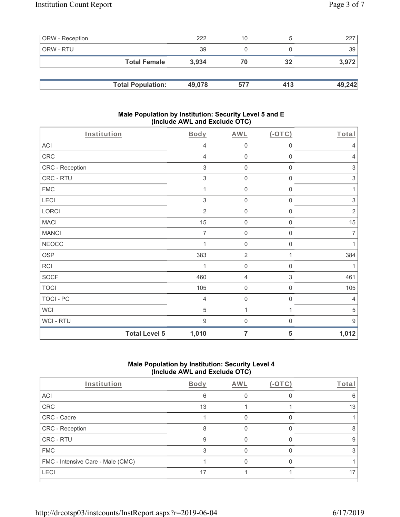| <b>ORW</b> - Reception |                          | 222    | 10  |     | 227    |
|------------------------|--------------------------|--------|-----|-----|--------|
| ORW - RTU              |                          | 39     |     |     | 39     |
|                        | <b>Total Female</b>      | 3.934  | 70  | 32  | 3,972  |
|                        |                          |        |     |     |        |
|                        | <b>Total Population:</b> | 49,078 | 577 | 413 | 49,242 |

### **Male Population by Institution: Security Level 5 and E (Include AWL and Exclude OTC)**

| Institution          | <b>Body</b>    | <b>AWL</b>          | $($ -OTC $)$        | Total                     |
|----------------------|----------------|---------------------|---------------------|---------------------------|
| ACI                  | 4              | $\mathsf{O}\xspace$ | 0                   | 4                         |
| CRC                  | 4              | $\mathsf{O}\xspace$ | $\mathsf{O}\xspace$ | $\overline{4}$            |
| CRC - Reception      | 3              | $\mathsf 0$         | $\mathsf{O}\xspace$ | $\ensuremath{\mathsf{3}}$ |
| CRC - RTU            | 3              | $\mathbf 0$         | 0                   | $\ensuremath{\mathsf{3}}$ |
| <b>FMC</b>           | 1              | $\mathsf{O}\xspace$ | 0                   | 1                         |
| LECI                 | 3              | $\mathsf{O}\xspace$ | 0                   | $\ensuremath{\mathsf{3}}$ |
| LORCI                | $\overline{2}$ | $\mathsf{O}\xspace$ | 0                   | $\sqrt{2}$                |
| <b>MACI</b>          | 15             | $\mathsf{O}\xspace$ | $\mathsf{O}\xspace$ | 15                        |
| <b>MANCI</b>         | 7              | $\mathsf 0$         | $\boldsymbol{0}$    | $\overline{7}$            |
| <b>NEOCC</b>         |                | $\mathsf{O}\xspace$ | $\boldsymbol{0}$    | 1                         |
| <b>OSP</b>           | 383            | $\overline{2}$      | 1                   | 384                       |
| <b>RCI</b>           |                | $\mathsf{O}\xspace$ | $\mathsf{O}\xspace$ | 1                         |
| <b>SOCF</b>          | 460            | $\overline{4}$      | $\,$ 3 $\,$         | 461                       |
| <b>TOCI</b>          | 105            | $\mathsf{O}\xspace$ | $\mathsf{O}\xspace$ | 105                       |
| <b>TOCI - PC</b>     | $\overline{4}$ | $\mathsf{O}\xspace$ | $\mathsf{O}\xspace$ | $\overline{4}$            |
| <b>WCI</b>           | 5              | 1                   | 1                   | $\,$ 5 $\,$               |
| WCI-RTU              | 9              | $\mathsf{O}\xspace$ | $\boldsymbol{0}$    | $\boldsymbol{9}$          |
| <b>Total Level 5</b> | 1,010          | 7                   | 5                   | 1,012                     |

## **Male Population by Institution: Security Level 4 (Include AWL and Exclude OTC)**

| Institution                       | <b>Body</b> | AWL | $(-OTC)$ | Total |
|-----------------------------------|-------------|-----|----------|-------|
| ACI                               | 6           |     |          |       |
| CRC                               | 13          |     |          | 13    |
| CRC - Cadre                       |             |     |          |       |
| CRC - Reception                   |             |     |          |       |
| CRC - RTU                         | 9           |     |          | 9     |
| <b>FMC</b>                        | 3           |     |          |       |
| FMC - Intensive Care - Male (CMC) |             |     |          |       |
| <b>LECI</b>                       | 17          |     |          |       |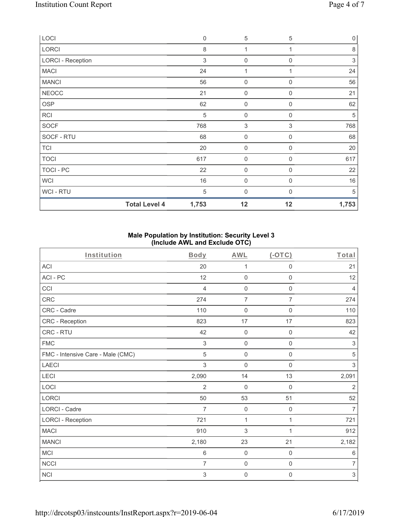| LOCI                     | $\mathbf 0$ | $\mathbf 5$         | 5              | $\mathsf{O}\xspace$ |
|--------------------------|-------------|---------------------|----------------|---------------------|
| LORCI                    | 8           | 1                   | 1              | $\,8\,$             |
| <b>LORCI - Reception</b> | 3           | 0                   | 0              | $\,$ 3 $\,$         |
| <b>MACI</b>              | 24          | 1                   |                | 24                  |
| <b>MANCI</b>             | 56          | $\boldsymbol{0}$    | $\mathbf 0$    | 56                  |
| <b>NEOCC</b>             | 21          | 0                   | $\mathbf 0$    | 21                  |
| OSP                      | 62          | $\boldsymbol{0}$    | 0              | 62                  |
| <b>RCI</b>               | $\sqrt{5}$  | $\mathsf{O}\xspace$ | $\mathbf 0$    | 5                   |
| <b>SOCF</b>              | 768         | 3                   | 3              | 768                 |
| SOCF - RTU               | 68          | $\mathsf{O}\xspace$ | $\mathbf 0$    | 68                  |
| <b>TCI</b>               | 20          | $\mathsf{O}\xspace$ | $\mathbf 0$    | 20                  |
| <b>TOCI</b>              | 617         | 0                   | $\Omega$       | 617                 |
| <b>TOCI - PC</b>         | 22          | $\mathsf{O}\xspace$ | 0              | 22                  |
| <b>WCI</b>               | 16          | $\mathsf{O}\xspace$ | $\overline{0}$ | 16                  |
| WCI - RTU                | 5           | 0                   | $\Omega$       | 5                   |
| <b>Total Level 4</b>     | 1,753       | 12                  | 12             | 1,753               |

### **Male Population by Institution: Security Level 3 (Include AWL and Exclude OTC)**

| Institution                       | Body           | <b>AWL</b>          | $($ -OTC $)$        | Total                     |
|-----------------------------------|----------------|---------------------|---------------------|---------------------------|
| <b>ACI</b>                        | 20             | 1                   | $\mathsf{O}\xspace$ | 21                        |
| ACI - PC                          | 12             | $\mathsf{O}\xspace$ | $\mathsf{O}\xspace$ | 12                        |
| CCI                               | 4              | $\mathbf 0$         | $\mathbf 0$         | $\overline{4}$            |
| <b>CRC</b>                        | 274            | $\overline{7}$      | $\overline{7}$      | 274                       |
| CRC - Cadre                       | 110            | $\mathbf 0$         | $\mathsf{O}\xspace$ | 110                       |
| CRC - Reception                   | 823            | 17                  | 17                  | 823                       |
| CRC - RTU                         | 42             | $\mathbf 0$         | $\boldsymbol{0}$    | 42                        |
| <b>FMC</b>                        | 3              | $\mathbf 0$         | $\mathbf 0$         | $\sqrt{3}$                |
| FMC - Intensive Care - Male (CMC) | 5              | $\mathbf 0$         | 0                   | $\sqrt{5}$                |
| <b>LAECI</b>                      | 3              | $\mathsf{O}\xspace$ | $\mathsf{O}\xspace$ | $\mathfrak{Z}$            |
| <b>LECI</b>                       | 2,090          | 14                  | 13                  | 2,091                     |
| LOCI                              | $\overline{2}$ | $\mathbf 0$         | $\mathbf 0$         | $\overline{2}$            |
| <b>LORCI</b>                      | 50             | 53                  | 51                  | 52                        |
| <b>LORCI - Cadre</b>              | $\overline{7}$ | $\mathsf{O}\xspace$ | $\mathsf 0$         | $\overline{7}$            |
| <b>LORCI - Reception</b>          | 721            | 1                   | 1                   | 721                       |
| <b>MACI</b>                       | 910            | $\sqrt{3}$          | 1                   | 912                       |
| <b>MANCI</b>                      | 2,180          | 23                  | 21                  | 2,182                     |
| <b>MCI</b>                        | 6              | $\mathbf 0$         | $\mathsf{O}\xspace$ | 6                         |
| <b>NCCI</b>                       | $\overline{7}$ | $\mathsf{O}\xspace$ | $\mathsf{O}\xspace$ | $\overline{7}$            |
| <b>NCI</b>                        | 3              | $\mathbf 0$         | $\boldsymbol{0}$    | $\ensuremath{\mathsf{3}}$ |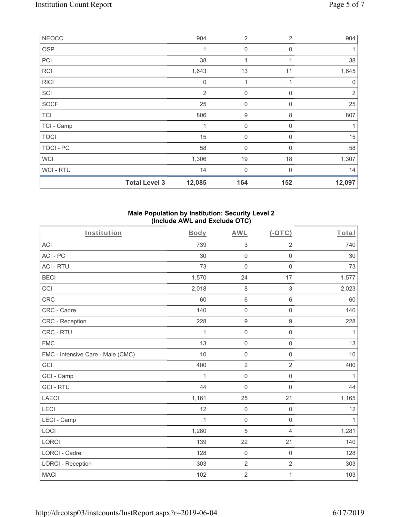| <b>NEOCC</b>     |                      | 904              | $\overline{2}$ | $\overline{2}$ | 904            |
|------------------|----------------------|------------------|----------------|----------------|----------------|
| <b>OSP</b>       |                      | 1                | $\mathbf 0$    | 0              |                |
| PCI              |                      | 38               | 1              | 1              | 38             |
| <b>RCI</b>       |                      | 1,643            | 13             | 11             | 1,645          |
| <b>RICI</b>      |                      | $\boldsymbol{0}$ | 1              |                | 0              |
| SCI              |                      | $\overline{2}$   | $\mathbf 0$    | 0              | $\overline{2}$ |
| <b>SOCF</b>      |                      | 25               | 0              | $\mathbf 0$    | 25             |
| <b>TCI</b>       |                      | 806              | 9              | 8              | 807            |
| TCI - Camp       |                      | 1                | $\mathbf 0$    | 0              | 1              |
| <b>TOCI</b>      |                      | 15               | 0              | 0              | 15             |
| <b>TOCI - PC</b> |                      | 58               | $\overline{0}$ | $\Omega$       | 58             |
| <b>WCI</b>       |                      | 1,306            | 19             | 18             | 1,307          |
| WCI - RTU        |                      | 14               | $\mathbf 0$    | 0              | 14             |
|                  | <b>Total Level 3</b> | 12,085           | 164            | 152            | 12,097         |

### **Male Population by Institution: Security Level 2 (Include AWL and Exclude OTC)**

| Institution                       | Body  | <b>AWL</b>          | $($ -OTC $)$        | Total |
|-----------------------------------|-------|---------------------|---------------------|-------|
| ACI                               | 739   | $\sqrt{3}$          | $\overline{2}$      | 740   |
| ACI-PC                            | 30    | $\mathsf 0$         | $\mathbf 0$         | 30    |
| <b>ACI - RTU</b>                  | 73    | $\mathsf 0$         | $\mathsf{O}\xspace$ | 73    |
| <b>BECI</b>                       | 1,570 | 24                  | 17                  | 1,577 |
| CCI                               | 2,018 | $\,8\,$             | $\sqrt{3}$          | 2,023 |
| <b>CRC</b>                        | 60    | $\,6\,$             | 6                   | 60    |
| CRC - Cadre                       | 140   | $\mathbf 0$         | $\mathbf 0$         | 140   |
| <b>CRC</b> - Reception            | 228   | $\boldsymbol{9}$    | $\boldsymbol{9}$    | 228   |
| CRC - RTU                         | 1     | $\mathsf{O}\xspace$ | 0                   | 1     |
| <b>FMC</b>                        | 13    | $\mathsf{O}\xspace$ | 0                   | 13    |
| FMC - Intensive Care - Male (CMC) | 10    | $\mathsf 0$         | $\mathsf{O}\xspace$ | 10    |
| GCI                               | 400   | $\overline{2}$      | $\overline{2}$      | 400   |
| GCI - Camp                        | 1     | $\mathbf 0$         | $\mathbf 0$         | 1     |
| <b>GCI-RTU</b>                    | 44    | $\mathsf{O}\xspace$ | 0                   | 44    |
| <b>LAECI</b>                      | 1,161 | 25                  | 21                  | 1,165 |
| LECI                              | 12    | $\mathsf 0$         | $\mathsf{O}\xspace$ | 12    |
| LECI - Camp                       | 1     | $\mathsf{O}\xspace$ | $\mathbf 0$         | 1     |
| LOCI                              | 1,280 | 5                   | $\overline{4}$      | 1,281 |
| <b>LORCI</b>                      | 139   | 22                  | 21                  | 140   |
| <b>LORCI - Cadre</b>              | 128   | $\mathbf 0$         | $\mathbf 0$         | 128   |
| <b>LORCI - Reception</b>          | 303   | $\sqrt{2}$          | $\overline{2}$      | 303   |
| <b>MACI</b>                       | 102   | $\sqrt{2}$          | 1                   | 103   |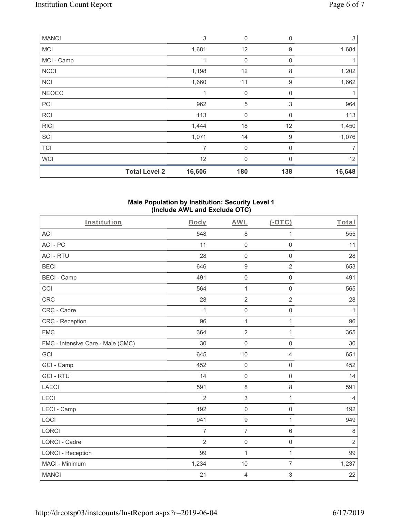| <b>MANCI</b> |                      | $\sqrt{3}$     | $\mathbf 0$      | 0           | 3 <sup>1</sup> |
|--------------|----------------------|----------------|------------------|-------------|----------------|
| <b>MCI</b>   |                      | 1,681          | 12               | 9           | 1,684          |
| MCI - Camp   |                      |                | $\mathbf 0$      | $\mathbf 0$ |                |
| <b>NCCI</b>  |                      | 1,198          | 12               | 8           | 1,202          |
| <b>NCI</b>   |                      | 1,660          | 11               | 9           | 1,662          |
| <b>NEOCC</b> |                      | 1              | $\mathbf 0$      | $\mathbf 0$ | 1              |
| PCI          |                      | 962            | 5                | 3           | 964            |
| <b>RCI</b>   |                      | 113            | $\boldsymbol{0}$ | 0           | 113            |
| <b>RICI</b>  |                      | 1,444          | 18               | 12          | 1,450          |
| SCI          |                      | 1,071          | 14               | 9           | 1,076          |
| <b>TCI</b>   |                      | $\overline{7}$ | $\mathbf 0$      | $\mathbf 0$ | 7              |
| <b>WCI</b>   |                      | 12             | $\mathbf{0}$     | $\Omega$    | 12             |
|              | <b>Total Level 2</b> | 16,606         | 180              | 138         | 16,648         |

#### **Male Population by Institution: Security Level 1 (Include AWL and Exclude OTC)**

| Institution                       | Body           | <b>AWL</b>          | (OTC)               | Total          |
|-----------------------------------|----------------|---------------------|---------------------|----------------|
| <b>ACI</b>                        | 548            | $\,8\,$             | 1                   | 555            |
| ACI-PC                            | 11             | $\mathsf{O}\xspace$ | $\mathsf{O}\xspace$ | 11             |
| <b>ACI - RTU</b>                  | 28             | $\mathbf 0$         | $\mathsf 0$         | 28             |
| <b>BECI</b>                       | 646            | $\boldsymbol{9}$    | $\overline{2}$      | 653            |
| <b>BECI - Camp</b>                | 491            | $\mathbf 0$         | $\mathbf 0$         | 491            |
| CCI                               | 564            | $\mathbf{1}$        | $\mathbf 0$         | 565            |
| <b>CRC</b>                        | 28             | $\overline{2}$      | $\overline{2}$      | 28             |
| CRC - Cadre                       | $\mathbf{1}$   | $\mathsf{O}\xspace$ | $\mathbf 0$         | $\mathbf{1}$   |
| CRC - Reception                   | 96             | $\mathbf{1}$        | $\mathbf{1}$        | 96             |
| <b>FMC</b>                        | 364            | $\overline{2}$      | 1                   | 365            |
| FMC - Intensive Care - Male (CMC) | 30             | $\mathbf 0$         | $\mathbf 0$         | 30             |
| GCI                               | 645            | $10$                | 4                   | 651            |
| GCI - Camp                        | 452            | $\mathbf 0$         | $\mathbf 0$         | 452            |
| <b>GCI-RTU</b>                    | 14             | $\mathbf 0$         | $\mathbf 0$         | 14             |
| <b>LAECI</b>                      | 591            | $\,8\,$             | $\,8\,$             | 591            |
| LECI                              | $\overline{2}$ | $\sqrt{3}$          | $\mathbf{1}$        | $\overline{4}$ |
| LECI - Camp                       | 192            | $\mathbf 0$         | $\mathsf{O}\xspace$ | 192            |
| LOCI                              | 941            | $\boldsymbol{9}$    | $\mathbf{1}$        | 949            |
| <b>LORCI</b>                      | 7              | $\overline{7}$      | $\,6\,$             | $\,8\,$        |
| <b>LORCI - Cadre</b>              | 2              | $\mathsf{O}\xspace$ | 0                   | $\overline{2}$ |
| <b>LORCI - Reception</b>          | 99             | 1                   | $\mathbf{1}$        | 99             |
| MACI - Minimum                    | 1,234          | 10                  | $\overline{7}$      | 1,237          |
| <b>MANCI</b>                      | 21             | $\overline{4}$      | $\,$ 3 $\,$         | 22             |